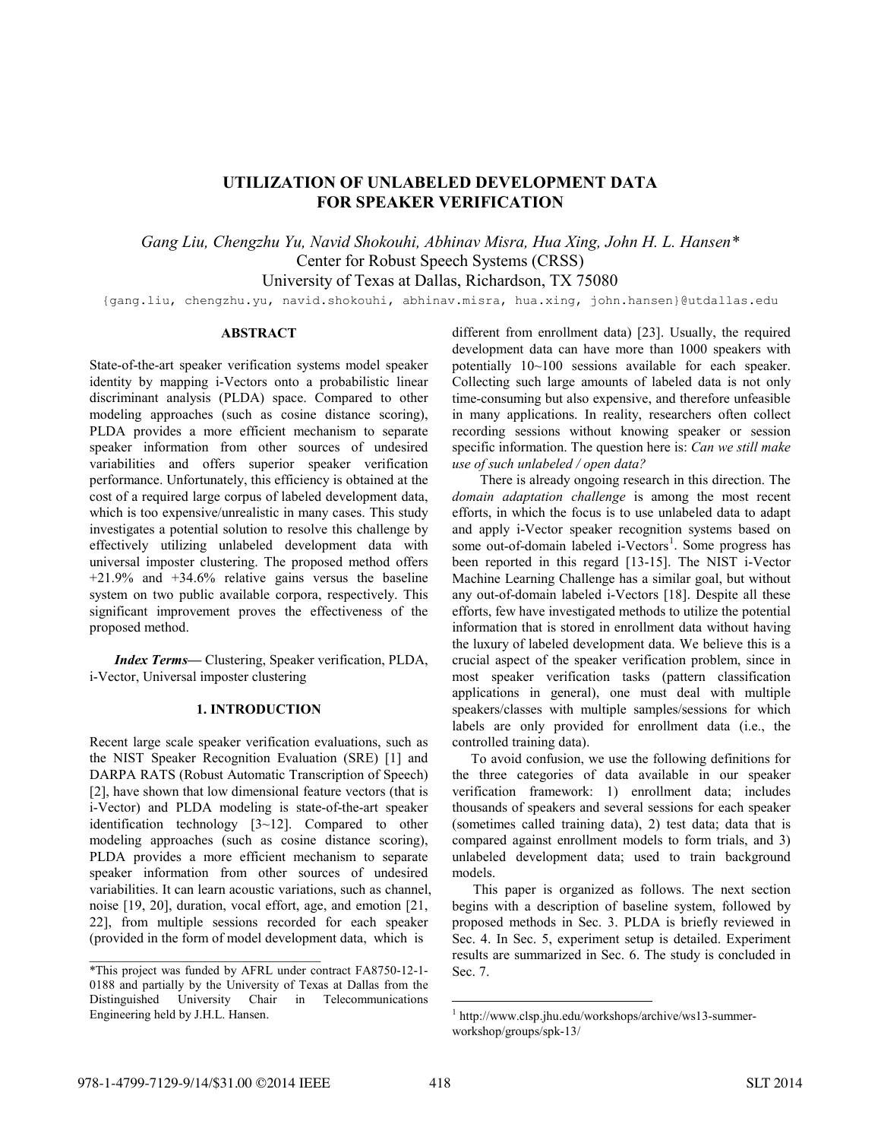# **UTILIZATION OF UNLABELED DEVELOPMENT DATA FOR SPEAKER VERIFICATION**

*Gang Liu, Chengzhu Yu, Navid Shokouhi, Abhinav Misra, Hua Xing, John H. L. Hansen\**  Center for Robust Speech Systems (CRSS) University of Texas at Dallas, Richardson, TX 75080

{gang.liu, chengzhu.yu, navid.shokouhi, abhinav.misra, hua.xing, john.hansen}@utdallas.edu

# **ABSTRACT**

State-of-the-art speaker verification systems model speaker identity by mapping i-Vectors onto a probabilistic linear discriminant analysis (PLDA) space. Compared to other modeling approaches (such as cosine distance scoring), PLDA provides a more efficient mechanism to separate speaker information from other sources of undesired variabilities and offers superior speaker verification performance. Unfortunately, this efficiency is obtained at the cost of a required large corpus of labeled development data, which is too expensive/unrealistic in many cases. This study investigates a potential solution to resolve this challenge by effectively utilizing unlabeled development data with universal imposter clustering. The proposed method offers +21.9% and +34.6% relative gains versus the baseline system on two public available corpora, respectively. This significant improvement proves the effectiveness of the proposed method.

*Index Terms—* Clustering, Speaker verification, PLDA, i-Vector, Universal imposter clustering

## **1. INTRODUCTION**

Recent large scale speaker verification evaluations, such as the NIST Speaker Recognition Evaluation (SRE) [1] and DARPA RATS (Robust Automatic Transcription of Speech) [2], have shown that low dimensional feature vectors (that is i-Vector) and PLDA modeling is state-of-the-art speaker identification technology [3~12]. Compared to other modeling approaches (such as cosine distance scoring), PLDA provides a more efficient mechanism to separate speaker information from other sources of undesired variabilities. It can learn acoustic variations, such as channel, noise [19, 20], duration, vocal effort, age, and emotion [21, 22], from multiple sessions recorded for each speaker (provided in the form of model development data, which is

different from enrollment data) [23]. Usually, the required development data can have more than 1000 speakers with potentially 10~100 sessions available for each speaker. Collecting such large amounts of labeled data is not only time-consuming but also expensive, and therefore unfeasible in many applications. In reality, researchers often collect recording sessions without knowing speaker or session specific information. The question here is: *Can we still make use of such unlabeled / open data?*

There is already ongoing research in this direction. The *domain adaptation challenge* is among the most recent efforts, in which the focus is to use unlabeled data to adapt and apply i-Vector speaker recognition systems based on some out-of-domain labeled i-Vectors<sup>1</sup>. Some progress has been reported in this regard [13-15]. The NIST i-Vector Machine Learning Challenge has a similar goal, but without any out-of-domain labeled i-Vectors [18]. Despite all these efforts, few have investigated methods to utilize the potential information that is stored in enrollment data without having the luxury of labeled development data. We believe this is a crucial aspect of the speaker verification problem, since in most speaker verification tasks (pattern classification applications in general), one must deal with multiple speakers/classes with multiple samples/sessions for which labels are only provided for enrollment data (i.e., the controlled training data).

To avoid confusion, we use the following definitions for the three categories of data available in our speaker verification framework: 1) enrollment data; includes thousands of speakers and several sessions for each speaker (sometimes called training data), 2) test data; data that is compared against enrollment models to form trials, and 3) unlabeled development data; used to train background models.

This paper is organized as follows. The next section begins with a description of baseline system, followed by proposed methods in Sec. 3. PLDA is briefly reviewed in Sec. 4. In Sec. 5, experiment setup is detailed. Experiment results are summarized in Sec. 6. The study is concluded in Sec. 7.

 $\mathcal{L}=\{1,2,3,4,5\}$ 

l

<sup>\*</sup>This project was funded by AFRL under contract FA8750-12-1- 0188 and partially by the University of Texas at Dallas from the Distinguished University Chair in Telecommunications Engineering held by J.H.L. Hansen.

<sup>1</sup> http://www.clsp.jhu.edu/workshops/archive/ws13-summerworkshop/groups/spk-13/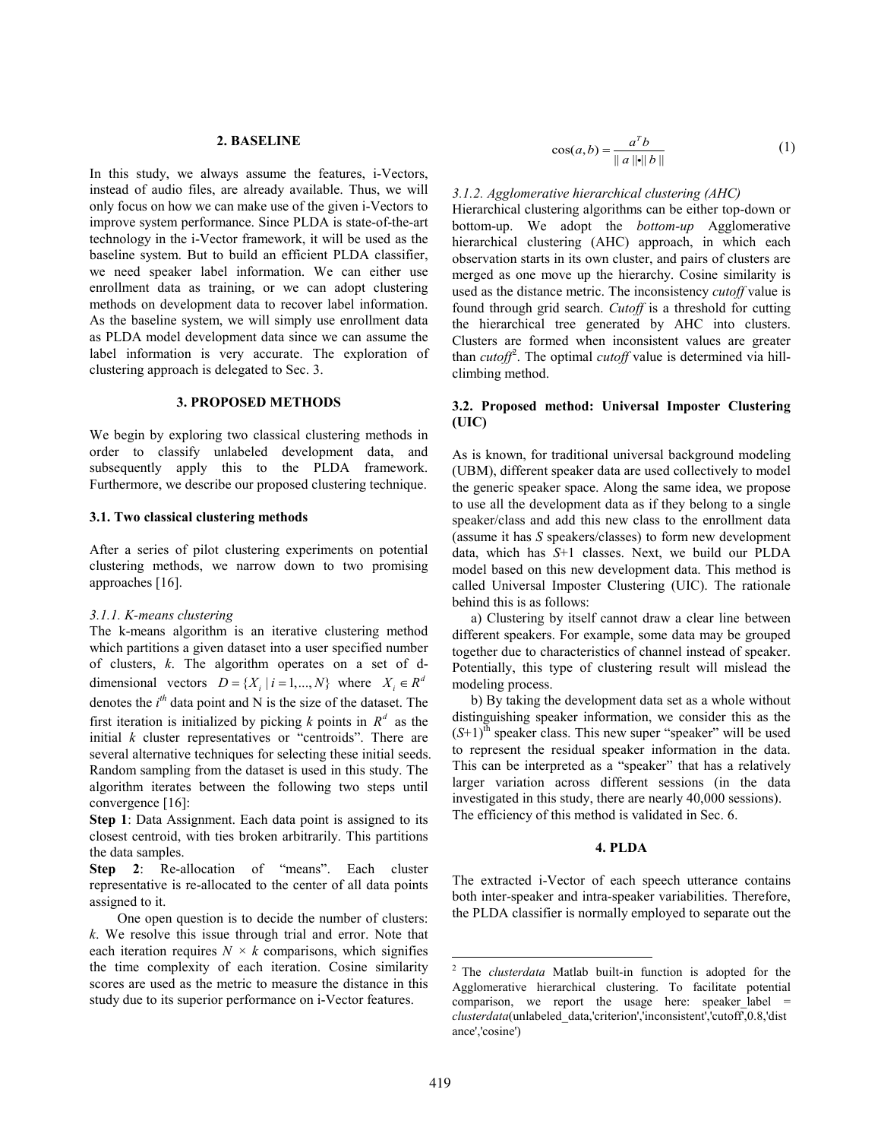# **2. BASELINE**

In this study, we always assume the features, i-Vectors, instead of audio files, are already available. Thus, we will only focus on how we can make use of the given i-Vectors to improve system performance. Since PLDA is state-of-the-art technology in the i-Vector framework, it will be used as the baseline system. But to build an efficient PLDA classifier, we need speaker label information. We can either use enrollment data as training, or we can adopt clustering methods on development data to recover label information. As the baseline system, we will simply use enrollment data as PLDA model development data since we can assume the label information is very accurate. The exploration of clustering approach is delegated to Sec. 3.

### **3. PROPOSED METHODS**

We begin by exploring two classical clustering methods in order to classify unlabeled development data, and subsequently apply this to the PLDA framework. Furthermore, we describe our proposed clustering technique.

## **3.1. Two classical clustering methods**

After a series of pilot clustering experiments on potential clustering methods, we narrow down to two promising approaches [16].

#### *3.1.1. K-means clustering*

The k-means algorithm is an iterative clustering method which partitions a given dataset into a user specified number of clusters, *k*. The algorithm operates on a set of ddimensional vectors  $D = \{X_i | i = 1, ..., N\}$  where  $X_i \in \mathbb{R}^d$ denotes the  $i<sup>th</sup>$  data point and N is the size of the dataset. The first iteration is initialized by picking *k* points in  $R^d$  as the initial *k* cluster representatives or "centroids". There are several alternative techniques for selecting these initial seeds. Random sampling from the dataset is used in this study. The algorithm iterates between the following two steps until convergence [16]:

**Step 1**: Data Assignment. Each data point is assigned to its closest centroid, with ties broken arbitrarily. This partitions the data samples.

**Step 2**: Re-allocation of "means". Each cluster representative is re-allocated to the center of all data points assigned to it.

One open question is to decide the number of clusters: *k*. We resolve this issue through trial and error. Note that each iteration requires  $N \times k$  comparisons, which signifies the time complexity of each iteration. Cosine similarity scores are used as the metric to measure the distance in this study due to its superior performance on i-Vector features.

$$
\cos(a, b) = \frac{a^T b}{\|a\| \|b\|} \tag{1}
$$

#### *3.1.2. Agglomerative hierarchical clustering (AHC)*

Hierarchical clustering algorithms can be either top-down or bottom-up. We adopt the *bottom-up* Agglomerative hierarchical clustering (AHC) approach, in which each observation starts in its own cluster, and pairs of clusters are merged as one move up the hierarchy. Cosine similarity is used as the distance metric. The inconsistency *cutoff* value is found through grid search. *Cutoff* is a threshold for cutting the hierarchical tree generated by AHC into clusters. Clusters are formed when inconsistent values are greater than *cutoff*<sup>2</sup>. The optimal *cutoff* value is determined via hillclimbing method.

# **3.2. Proposed method: Universal Imposter Clustering (UIC)**

As is known, for traditional universal background modeling (UBM), different speaker data are used collectively to model the generic speaker space. Along the same idea, we propose to use all the development data as if they belong to a single speaker/class and add this new class to the enrollment data (assume it has *S* speakers/classes) to form new development data, which has *S*+1 classes. Next, we build our PLDA model based on this new development data. This method is called Universal Imposter Clustering (UIC). The rationale behind this is as follows:

a) Clustering by itself cannot draw a clear line between different speakers. For example, some data may be grouped together due to characteristics of channel instead of speaker. Potentially, this type of clustering result will mislead the modeling process.

b) By taking the development data set as a whole without distinguishing speaker information, we consider this as the  $(S+1)$ <sup>th</sup> speaker class. This new super "speaker" will be used to represent the residual speaker information in the data. This can be interpreted as a "speaker" that has a relatively larger variation across different sessions (in the data investigated in this study, there are nearly 40,000 sessions). The efficiency of this method is validated in Sec. 6.

# **4. PLDA**

The extracted i-Vector of each speech utterance contains both inter-speaker and intra-speaker variabilities. Therefore, the PLDA classifier is normally employed to separate out the

l

<sup>2</sup> The *clusterdata* Matlab built-in function is adopted for the Agglomerative hierarchical clustering. To facilitate potential comparison, we report the usage here: speaker label  $=$ *clusterdata*(unlabeled\_data,'criterion','inconsistent','cutoff',0.8,'dist ance','cosine')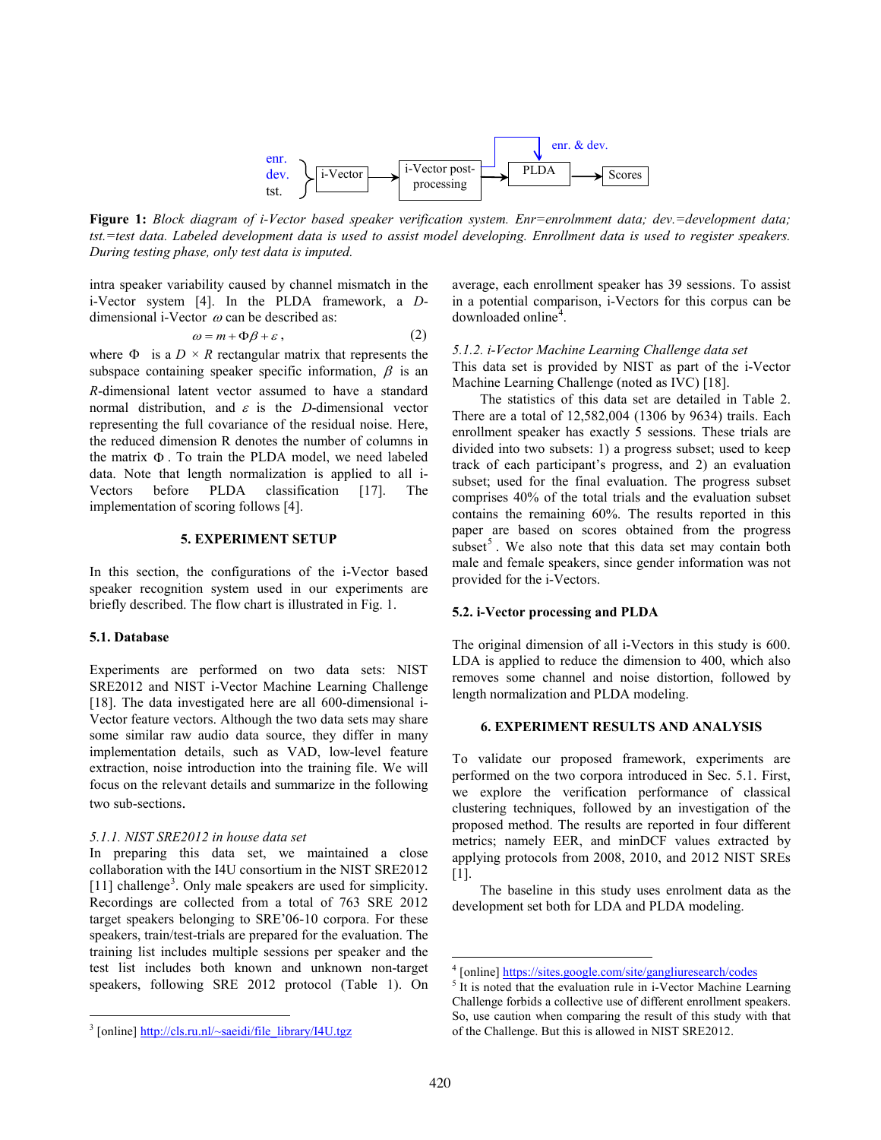

**Figure 1:** *Block diagram of i-Vector based speaker verification system. Enr=enrolmment data; dev.=development data; tst.=test data. Labeled development data is used to assist model developing. Enrollment data is used to register speakers. During testing phase, only test data is imputed.*

intra speaker variability caused by channel mismatch in the i-Vector system [4]. In the PLDA framework, a *D*dimensional i-Vector  $\omega$  can be described as:

$$
\omega = m + \Phi \beta + \varepsilon \,,\tag{2}
$$

where  $\Phi$  is a  $D \times R$  rectangular matrix that represents the subspace containing speaker specific information,  $\beta$  is an *R*-dimensional latent vector assumed to have a standard normal distribution, and  $\varepsilon$  is the *D*-dimensional vector representing the full covariance of the residual noise. Here, the reduced dimension R denotes the number of columns in the matrix Φ . To train the PLDA model, we need labeled data. Note that length normalization is applied to all i-Vectors before PLDA classification [17]. The implementation of scoring follows [4].

## **5. EXPERIMENT SETUP**

In this section, the configurations of the i-Vector based speaker recognition system used in our experiments are briefly described. The flow chart is illustrated in Fig. 1.

#### **5.1. Database**

 $\overline{a}$ 

Experiments are performed on two data sets: NIST SRE2012 and NIST i-Vector Machine Learning Challenge [18]. The data investigated here are all 600-dimensional i-Vector feature vectors. Although the two data sets may share some similar raw audio data source, they differ in many implementation details, such as VAD, low-level feature extraction, noise introduction into the training file. We will focus on the relevant details and summarize in the following two sub-sections.

#### *5.1.1. NIST SRE2012 in house data set*

In preparing this data set, we maintained a close collaboration with the I4U consortium in the NIST SRE2012 [11] challenge<sup>3</sup>. Only male speakers are used for simplicity. Recordings are collected from a total of 763 SRE 2012 target speakers belonging to SRE'06-10 corpora. For these speakers, train/test-trials are prepared for the evaluation. The training list includes multiple sessions per speaker and the test list includes both known and unknown non-target speakers, following SRE 2012 protocol (Table 1). On

average, each enrollment speaker has 39 sessions. To assist in a potential comparison, i-Vectors for this corpus can be downloaded online<sup>4</sup>.

# *5.1.2. i-Vector Machine Learning Challenge data set* This data set is provided by NIST as part of the i-Vector Machine Learning Challenge (noted as IVC) [18].

The statistics of this data set are detailed in Table 2. There are a total of 12,582,004 (1306 by 9634) trails. Each enrollment speaker has exactly 5 sessions. These trials are divided into two subsets: 1) a progress subset; used to keep track of each participant's progress, and 2) an evaluation subset; used for the final evaluation. The progress subset comprises 40% of the total trials and the evaluation subset contains the remaining 60%. The results reported in this paper are based on scores obtained from the progress subset<sup>5</sup>. We also note that this data set may contain both male and female speakers, since gender information was not provided for the i-Vectors.

## **5.2. i-Vector processing and PLDA**

The original dimension of all i-Vectors in this study is 600. LDA is applied to reduce the dimension to 400, which also removes some channel and noise distortion, followed by length normalization and PLDA modeling.

## **6. EXPERIMENT RESULTS AND ANALYSIS**

To validate our proposed framework, experiments are performed on the two corpora introduced in Sec. 5.1. First, we explore the verification performance of classical clustering techniques, followed by an investigation of the proposed method. The results are reported in four different metrics; namely EER, and minDCF values extracted by applying protocols from 2008, 2010, and 2012 NIST SREs [1].

The baseline in this study uses enrolment data as the development set both for LDA and PLDA modeling.

 $3$  [online] http://cls.ru.nl/ $\sim$ saeidi/file library/I4U.tgz

<sup>&</sup>lt;sup>4</sup> [online] https://sites.google.com/site/gangliuresearch/codes

 $5$  It is noted that the evaluation rule in i-Vector Machine Learning Challenge forbids a collective use of different enrollment speakers. So, use caution when comparing the result of this study with that of the Challenge. But this is allowed in NIST SRE2012.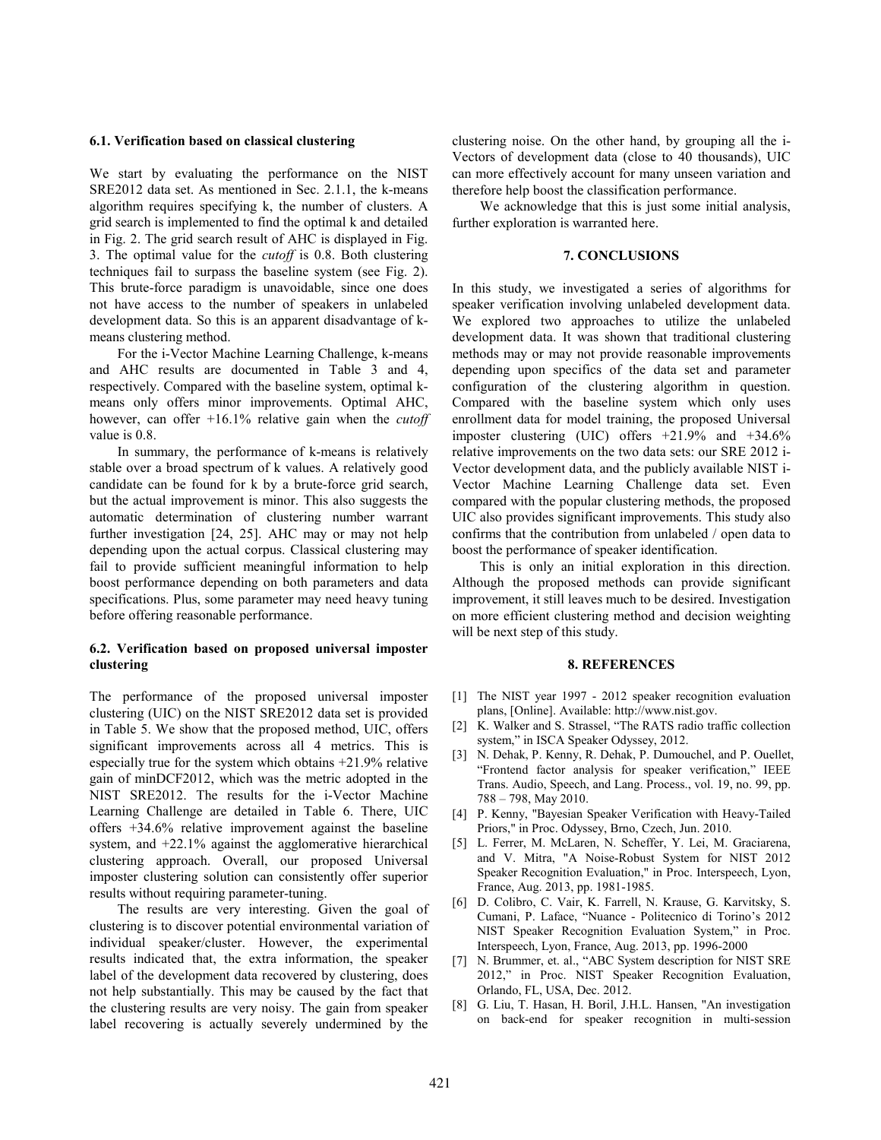#### **6.1. Verification based on classical clustering**

We start by evaluating the performance on the NIST SRE2012 data set. As mentioned in Sec. 2.1.1, the k-means algorithm requires specifying k, the number of clusters. A grid search is implemented to find the optimal k and detailed in Fig. 2. The grid search result of AHC is displayed in Fig. 3. The optimal value for the *cutoff* is 0.8. Both clustering techniques fail to surpass the baseline system (see Fig. 2). This brute-force paradigm is unavoidable, since one does not have access to the number of speakers in unlabeled development data. So this is an apparent disadvantage of kmeans clustering method.

For the i-Vector Machine Learning Challenge, k-means and AHC results are documented in Table 3 and 4, respectively. Compared with the baseline system, optimal kmeans only offers minor improvements. Optimal AHC, however, can offer +16.1% relative gain when the *cutoff* value is 0.8.

In summary, the performance of k-means is relatively stable over a broad spectrum of k values. A relatively good candidate can be found for k by a brute-force grid search, but the actual improvement is minor. This also suggests the automatic determination of clustering number warrant further investigation [24, 25]. AHC may or may not help depending upon the actual corpus. Classical clustering may fail to provide sufficient meaningful information to help boost performance depending on both parameters and data specifications. Plus, some parameter may need heavy tuning before offering reasonable performance.

# **6.2. Verification based on proposed universal imposter clustering**

The performance of the proposed universal imposter clustering (UIC) on the NIST SRE2012 data set is provided in Table 5. We show that the proposed method, UIC, offers significant improvements across all 4 metrics. This is especially true for the system which obtains +21.9% relative gain of minDCF2012, which was the metric adopted in the NIST SRE2012. The results for the i-Vector Machine Learning Challenge are detailed in Table 6. There, UIC offers +34.6% relative improvement against the baseline system, and  $+22.1\%$  against the agglomerative hierarchical clustering approach. Overall, our proposed Universal imposter clustering solution can consistently offer superior results without requiring parameter-tuning.

The results are very interesting. Given the goal of clustering is to discover potential environmental variation of individual speaker/cluster. However, the experimental results indicated that, the extra information, the speaker label of the development data recovered by clustering, does not help substantially. This may be caused by the fact that the clustering results are very noisy. The gain from speaker label recovering is actually severely undermined by the

clustering noise. On the other hand, by grouping all the i-Vectors of development data (close to 40 thousands), UIC can more effectively account for many unseen variation and therefore help boost the classification performance.

We acknowledge that this is just some initial analysis, further exploration is warranted here.

## **7. CONCLUSIONS**

In this study, we investigated a series of algorithms for speaker verification involving unlabeled development data. We explored two approaches to utilize the unlabeled development data. It was shown that traditional clustering methods may or may not provide reasonable improvements depending upon specifics of the data set and parameter configuration of the clustering algorithm in question. Compared with the baseline system which only uses enrollment data for model training, the proposed Universal imposter clustering (UIC) offers +21.9% and +34.6% relative improvements on the two data sets: our SRE 2012 i-Vector development data, and the publicly available NIST i-Vector Machine Learning Challenge data set. Even compared with the popular clustering methods, the proposed UIC also provides significant improvements. This study also confirms that the contribution from unlabeled / open data to boost the performance of speaker identification.

This is only an initial exploration in this direction. Although the proposed methods can provide significant improvement, it still leaves much to be desired. Investigation on more efficient clustering method and decision weighting will be next step of this study.

# **8. REFERENCES**

- [1] The NIST year 1997 2012 speaker recognition evaluation plans, [Online]. Available: http://www.nist.gov.
- [2] K. Walker and S. Strassel, "The RATS radio traffic collection system," in ISCA Speaker Odyssey, 2012.
- [3] N. Dehak, P. Kenny, R. Dehak, P. Dumouchel, and P. Ouellet, "Frontend factor analysis for speaker verification," IEEE Trans. Audio, Speech, and Lang. Process., vol. 19, no. 99, pp. 788 – 798, May 2010.
- [4] P. Kenny, "Bayesian Speaker Verification with Heavy-Tailed Priors," in Proc. Odyssey, Brno, Czech, Jun. 2010.
- [5] L. Ferrer, M. McLaren, N. Scheffer, Y. Lei, M. Graciarena, and V. Mitra, "A Noise-Robust System for NIST 2012 Speaker Recognition Evaluation," in Proc. Interspeech, Lyon, France, Aug. 2013, pp. 1981-1985.
- [6] D. Colibro, C. Vair, K. Farrell, N. Krause, G. Karvitsky, S. Cumani, P. Laface, "Nuance - Politecnico di Torino's 2012 NIST Speaker Recognition Evaluation System," in Proc. Interspeech, Lyon, France, Aug. 2013, pp. 1996-2000
- [7] N. Brummer, et. al., "ABC System description for NIST SRE 2012," in Proc. NIST Speaker Recognition Evaluation, Orlando, FL, USA, Dec. 2012.
- [8] G. Liu, T. Hasan, H. Boril, J.H.L. Hansen, "An investigation on back-end for speaker recognition in multi-session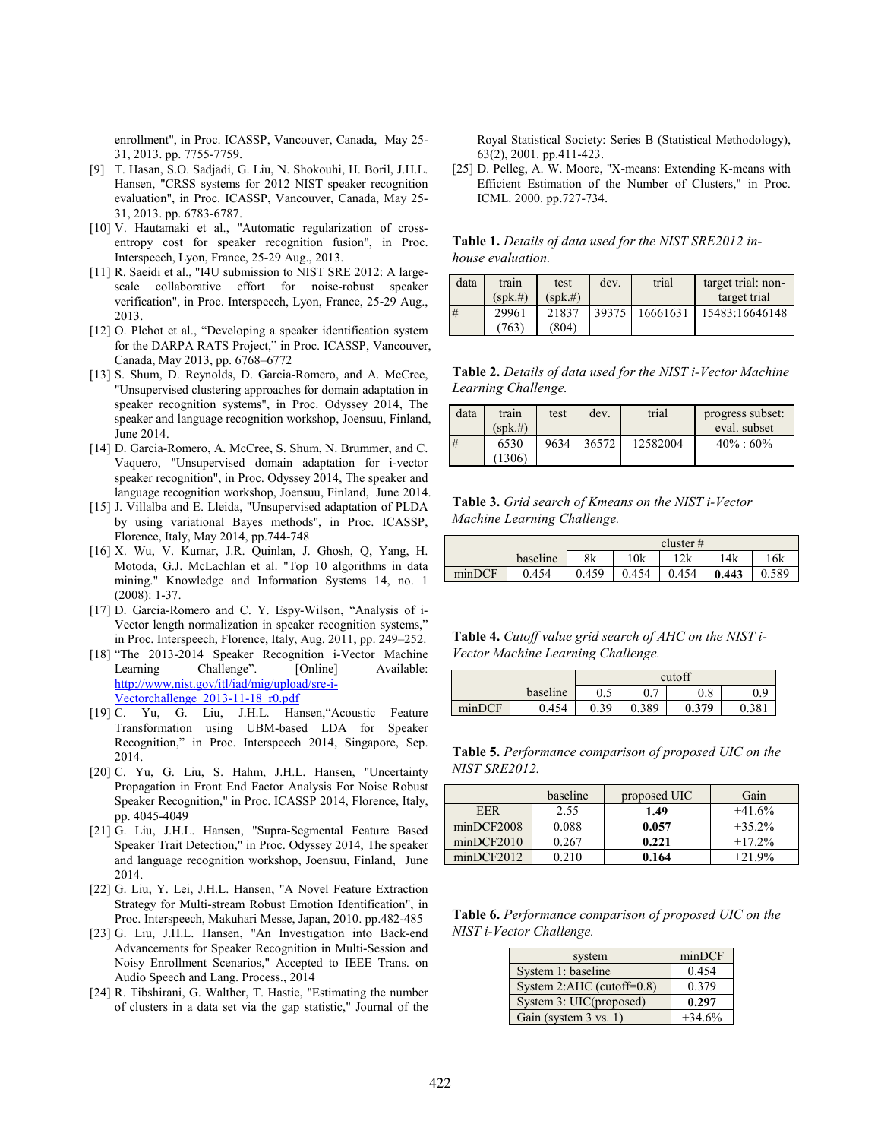enrollment", in Proc. ICASSP, Vancouver, Canada, May 25- 31, 2013. pp. 7755-7759.

- [9] T. Hasan, S.O. Sadjadi, G. Liu, N. Shokouhi, H. Boril, J.H.L. Hansen, "CRSS systems for 2012 NIST speaker recognition evaluation", in Proc. ICASSP, Vancouver, Canada, May 25- 31, 2013. pp. 6783-6787.
- [10] V. Hautamaki et al., "Automatic regularization of crossentropy cost for speaker recognition fusion", in Proc. Interspeech, Lyon, France, 25-29 Aug., 2013.
- [11] R. Saeidi et al., "I4U submission to NIST SRE 2012: A largescale collaborative effort for noise-robust speaker verification", in Proc. Interspeech, Lyon, France, 25-29 Aug., 2013.
- [12] O. Plchot et al., "Developing a speaker identification system for the DARPA RATS Project," in Proc. ICASSP, Vancouver, Canada, May 2013, pp. 6768–6772
- [13] S. Shum, D. Reynolds, D. Garcia-Romero, and A. McCree, "Unsupervised clustering approaches for domain adaptation in speaker recognition systems", in Proc. Odyssey 2014, The speaker and language recognition workshop, Joensuu, Finland, June 2014.
- [14] D. Garcia-Romero, A. McCree, S. Shum, N. Brummer, and C. Vaquero, "Unsupervised domain adaptation for i-vector speaker recognition", in Proc. Odyssey 2014, The speaker and language recognition workshop, Joensuu, Finland, June 2014.
- [15] J. Villalba and E. Lleida, "Unsupervised adaptation of PLDA by using variational Bayes methods", in Proc. ICASSP, Florence, Italy, May 2014, pp.744-748
- [16] X. Wu, V. Kumar, J.R. Quinlan, J. Ghosh, Q, Yang, H. Motoda, G.J. McLachlan et al. "Top 10 algorithms in data mining." Knowledge and Information Systems 14, no. 1 (2008): 1-37.
- [17] D. Garcia-Romero and C. Y. Espy-Wilson, "Analysis of i-Vector length normalization in speaker recognition systems," in Proc. Interspeech, Florence, Italy, Aug. 2011, pp. 249–252.
- [18] "The 2013-2014 Speaker Recognition i-Vector Machine Learning Challenge". [Online] Available: http://www.nist.gov/itl/iad/mig/upload/sre-i-Vectorchallenge\_2013-11-18\_r0.pdf
- [19] C. Yu, G. Liu, J.H.L. Hansen,"Acoustic Feature Transformation using UBM-based LDA for Speaker Recognition," in Proc. Interspeech 2014, Singapore, Sep. 2014.
- [20] C. Yu, G. Liu, S. Hahm, J.H.L. Hansen, "Uncertainty Propagation in Front End Factor Analysis For Noise Robust Speaker Recognition," in Proc. ICASSP 2014, Florence, Italy, pp. 4045-4049
- [21] G. Liu, J.H.L. Hansen, "Supra-Segmental Feature Based Speaker Trait Detection," in Proc. Odyssey 2014, The speaker and language recognition workshop, Joensuu, Finland, June 2014.
- [22] G. Liu, Y. Lei, J.H.L. Hansen, "A Novel Feature Extraction Strategy for Multi-stream Robust Emotion Identification", in Proc. Interspeech, Makuhari Messe, Japan, 2010. pp.482-485
- [23] G. Liu, J.H.L. Hansen, "An Investigation into Back-end Advancements for Speaker Recognition in Multi-Session and Noisy Enrollment Scenarios," Accepted to IEEE Trans. on Audio Speech and Lang. Process., 2014
- [24] R. Tibshirani, G. Walther, T. Hastie, "Estimating the number of clusters in a data set via the gap statistic," Journal of the

Royal Statistical Society: Series B (Statistical Methodology), 63(2), 2001. pp.411-423.

[25] D. Pelleg, A. W. Moore, "X-means: Extending K-means with Efficient Estimation of the Number of Clusters," in Proc. ICML. 2000. pp.727-734.

**Table 1.** *Details of data used for the NIST SRE2012 inhouse evaluation.*

| data | train       | test        | dev.  | trial    | target trial: non- |
|------|-------------|-------------|-------|----------|--------------------|
|      | $(spk. \#)$ | $(spk. \#)$ |       |          | target trial       |
| #    | 29961       | 21837       | 39375 | 16661631 | 15483:16646148     |
|      | (763)       | (804)       |       |          |                    |

**Table 2.** *Details of data used for the NIST i-Vector Machine Learning Challenge.*

| data | train       | test | dev.  | trial    | progress subset: |
|------|-------------|------|-------|----------|------------------|
|      | $(spk. \#)$ |      |       |          | eval. subset     |
| #    | 6530        | 9634 | 36572 | 12582004 | $40\% : 60\%$    |
|      | 1306)       |      |       |          |                  |

**Table 3.** *Grid search of Kmeans on the NIST i-Vector Machine Learning Challenge.*

|        |          | cluster $#$ |       |       |       |       |  |
|--------|----------|-------------|-------|-------|-------|-------|--|
|        | baseline | 8k          | 10k   | 12k   | 14k   | 16k   |  |
| minDCF | 0.454    | 0.459       | 0.454 | 0.454 | 0.443 | 0.589 |  |

**Table 4.** *Cutoff value grid search of AHC on the NIST i-Vector Machine Learning Challenge.*

|        |          | cutoff                     |                        |          |      |  |
|--------|----------|----------------------------|------------------------|----------|------|--|
|        | baseline | $\alpha$ $\epsilon$<br>∪.J | $\overline{ }$<br>v. 1 | $_{0.8}$ | 0.9  |  |
| minDCF | .454     | 39<br>0.39                 | 0.389                  | 0.379    | 0.38 |  |

**Table 5.** *Performance comparison of proposed UIC on the NIST SRE2012.*

|            | baseline | proposed UIC | Gain      |
|------------|----------|--------------|-----------|
| EER        | 2.55     | 1.49         | $+41.6%$  |
| minDCF2008 | 0.088    | 0.057        | $+35.2\%$ |
| minDCF2010 | 0.267    | 0.221        | $+17.2%$  |
| minDCF2012 | 0.210    | 0.164        | $+219%$   |

**Table 6.** *Performance comparison of proposed UIC on the NIST i-Vector Challenge.*

| system                    | minDCF   |
|---------------------------|----------|
| System 1: baseline        | 0.454    |
| System 2:AHC (cutoff=0.8) | 0.379    |
| System 3: UIC(proposed)   | 0.297    |
| Gain (system 3 vs. 1)     | $+34.6%$ |